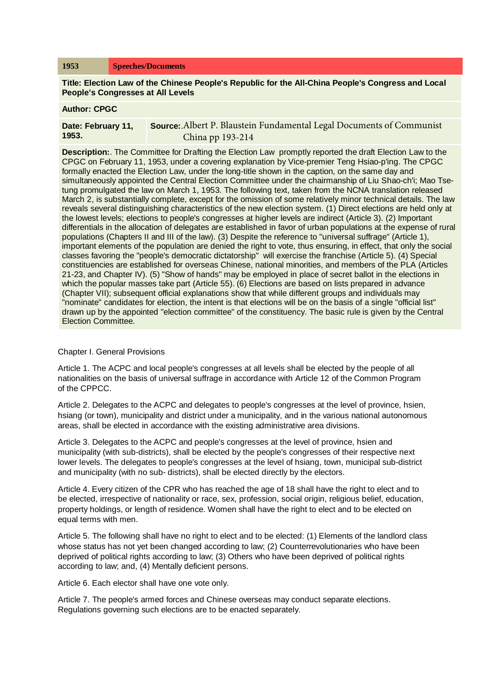**Title: Election Law of the Chinese People's Republic for the All-China People's Congress and Local People's Congresses at All Levels**

#### **Author: CPGC**

| Date: February 11, | <b>Source:</b> Albert P. Blaustein Fundamental Legal Documents of Communist |
|--------------------|-----------------------------------------------------------------------------|
| 1953.              | China pp 193-214                                                            |

**Description:**. The Committee for Drafting the Election Law promptly reported the draft Election Law to the CPGC on February 11, 1953, under a covering explanation by Vice-premier Teng Hsiao-p'ing. The CPGC formally enacted the Election Law, under the long-title shown in the caption, on the same day and simultaneously appointed the Central Election Committee under the chairmanship of Liu Shao-ch'i; Mao Tsetung promulgated the law on March 1, 1953. The following text, taken from the NCNA translation released March 2, is substantially complete, except for the omission of some relatively minor technical details. The law reveals several distinguishing characteristics of the new election system. (1) Direct elections are held only at the lowest levels; elections to people's congresses at higher levels are indirect (Article 3). (2) Important differentials in the allocation of delegates are established in favor of urban populations at the expense of rural populations (Chapters II and III of the law). (3) Despite the reference to "universal suffrage" (Article 1), important elements of the population are denied the right to vote, thus ensuring, in effect, that only the social classes favoring the "people's democratic dictatorship" will exercise the franchise (Article 5). (4) Special constituencies are established for overseas Chinese, national minorities, and members of the PLA (Articles 21-23, and Chapter IV). (5) "Show of hands" may be employed in place of secret ballot in the elections in which the popular masses take part (Article 55). (6) Elections are based on lists prepared in advance (Chapter VII); subsequent official explanations show that while different groups and individuals may "nominate" candidates for election, the intent is that elections will be on the basis of a single "official list" drawn up by the appointed "election committee" of the constituency. The basic rule is given by the Central Election Committee.

### Chapter I. General Provisions

Article 1. The ACPC and local people's congresses at all levels shall be elected by the people of all nationalities on the basis of universal suffrage in accordance with Article 12 of the Common Program of the CPPCC.

Article 2. Delegates to the ACPC and delegates to people's congresses at the level of province, hsien, hsiang (or town), municipality and district under a municipality, and in the various national autonomous areas, shall be elected in accordance with the existing administrative area divisions.

Article 3. Delegates to the ACPC and people's congresses at the level of province, hsien and municipality (with sub-districts), shall be elected by the people's congresses of their respective next lower levels. The delegates to people's congresses at the level of hsiang, town, municipal sub-district and municipality (with no sub- districts), shall be elected directly by the electors.

Article 4. Every citizen of the CPR who has reached the age of 18 shall have the right to elect and to be elected, irrespective of nationality or race, sex, profession, social origin, religious belief, education, property holdings, or length of residence. Women shall have the right to elect and to be elected on equal terms with men.

Article 5. The following shall have no right to elect and to be elected: (1) Elements of the landlord class whose status has not yet been changed according to law; (2) Counterrevolutionaries who have been deprived of political rights according to law; (3) Others who have been deprived of political rights according to law; and, (4) Mentally deficient persons.

Article 6. Each elector shall have one vote only.

Article 7. The people's armed forces and Chinese overseas may conduct separate elections. Regulations governing such elections are to be enacted separately.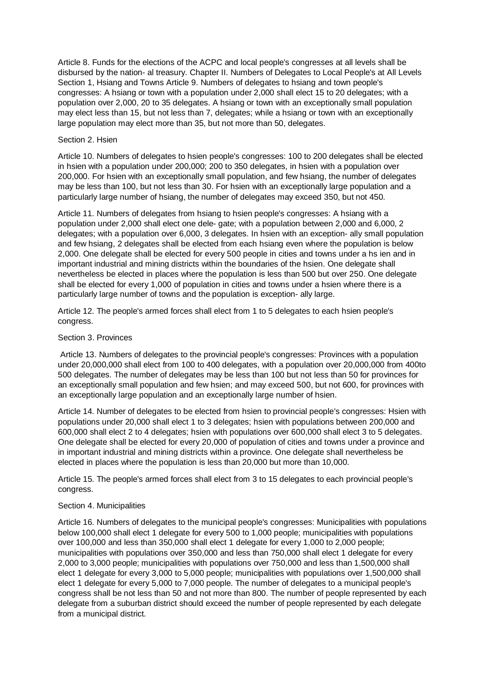Article 8. Funds for the elections of the ACPC and local people's congresses at all levels shall be disbursed by the nation- al treasury. Chapter II. Numbers of Delegates to Local People's at All Levels Section 1, Hsiang and Towns Article 9. Numbers of delegates to hsiang and town people's congresses: A hsiang or town with a population under 2,000 shall elect 15 to 20 delegates; with a population over 2,000, 20 to 35 delegates. A hsiang or town with an exceptionally small population may elect less than 15, but not less than 7, delegates; while a hsiang or town with an exceptionally large population may elect more than 35, but not more than 50, delegates.

# Section 2. Hsien

Article 10. Numbers of delegates to hsien people's congresses: 100 to 200 delegates shall be elected in hsien with a population under 200,000; 200 to 350 delegates, in hsien with a population over 200,000. For hsien with an exceptionally small population, and few hsiang, the number of delegates may be less than 100, but not less than 30. For hsien with an exceptionally large population and a particularly large number of hsiang, the number of delegates may exceed 350, but not 450.

Article 11. Numbers of delegates from hsiang to hsien people's congresses: A hsiang with a population under 2,000 shall elect one dele- gate; with a population between 2,000 and 6,000, 2 delegates; with a population over 6,000, 3 delegates. In hsien with an exception- ally small population and few hsiang, 2 delegates shall be elected from each hsiang even where the population is below 2,000. One delegate shall be elected for every 500 people in cities and towns under a hs ien and in important industrial and mining districts within the boundaries of the hsien. One delegate shall nevertheless be elected in places where the population is less than 500 but over 250. One delegate shall be elected for every 1,000 of population in cities and towns under a hsien where there is a particularly large number of towns and the population is exception- ally large.

Article 12. The people's armed forces shall elect from 1 to 5 delegates to each hsien people's congress.

## Section 3. Provinces

Article 13. Numbers of delegates to the provincial people's congresses: Provinces with a population under 20,000,000 shall elect from 100 to 400 delegates, with a population over 20,000,000 from 400to 500 delegates. The number of delegates may be less than 100 but not less than 50 for provinces for an exceptionally small population and few hsien; and may exceed 500, but not 600, for provinces with an exceptionally large population and an exceptionally large number of hsien.

Article 14. Number of delegates to be elected from hsien to provincial people's congresses: Hsien with populations under 20,000 shall elect 1 to 3 delegates; hsien with populations between 200,000 and 600,000 shall elect 2 to 4 delegates; hsien with populations over 600,000 shall elect 3 to 5 delegates. One delegate shall be elected for every 20,000 of population of cities and towns under a province and in important industrial and mining districts within a province. One delegate shall nevertheless be elected in places where the population is less than 20,000 but more than 10,000.

Article 15. The people's armed forces shall elect from 3 to 15 delegates to each provincial people's congress.

### Section 4. Municipalities

Article 16. Numbers of delegates to the municipal people's congresses: Municipalities with populations below 100,000 shall elect 1 delegate for every 500 to 1,000 people; municipalities with populations over 100,000 and less than 350,000 shall elect 1 delegate for every 1,000 to 2,000 people; municipalities with populations over 350,000 and less than 750,000 shall elect 1 delegate for every 2,000 to 3,000 people; municipalities with populations over 750,000 and less than 1,500,000 shall elect 1 delegate for every 3,000 to 5,000 people; municipalities with populations over 1,500,000 shall elect 1 delegate for every 5,000 to 7,000 people. The number of delegates to a municipal people's congress shall be not less than 50 and not more than 800. The number of people represented by each delegate from a suburban district should exceed the number of people represented by each delegate from a municipal district.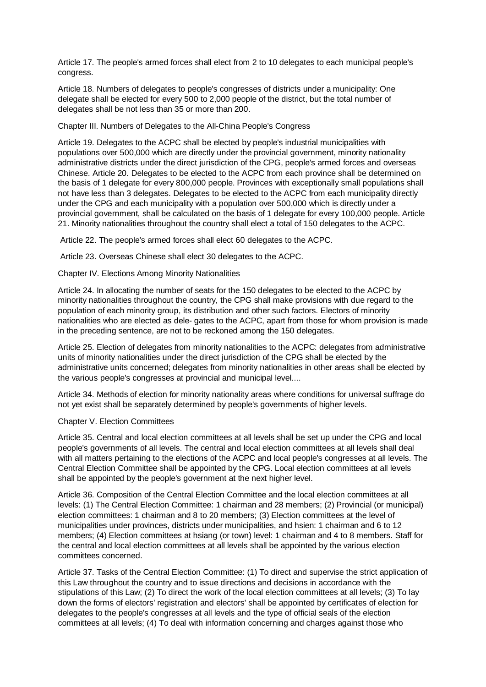Article 17. The people's armed forces shall elect from 2 to 10 delegates to each municipal people's congress.

Article 18. Numbers of delegates to people's congresses of districts under a municipality: One delegate shall be elected for every 500 to 2,000 people of the district, but the total number of delegates shall be not less than 35 or more than 200.

Chapter III. Numbers of Delegates to the All-China People's Congress

Article 19. Delegates to the ACPC shall be elected by people's industrial municipalities with populations over 500,000 which are directly under the provincial government, minority nationality administrative districts under the direct jurisdiction of the CPG, people's armed forces and overseas Chinese. Article 20. Delegates to be elected to the ACPC from each province shall be determined on the basis of 1 delegate for every 800,000 people. Provinces with exceptionally small populations shall not have less than 3 delegates. Delegates to be elected to the ACPC from each municipality directly under the CPG and each municipality with a population over 500,000 which is directly under a provincial government, shall be calculated on the basis of 1 delegate for every 100,000 people. Article 21. Minority nationalities throughout the country shall elect a total of 150 delegates to the ACPC.

Article 22. The people's armed forces shall elect 60 delegates to the ACPC.

Article 23. Overseas Chinese shall elect 30 delegates to the ACPC.

Chapter IV. Elections Among Minority Nationalities

Article 24. In allocating the number of seats for the 150 delegates to be elected to the ACPC by minority nationalities throughout the country, the CPG shall make provisions with due regard to the population of each minority group, its distribution and other such factors. Electors of minority nationalities who are elected as dele- gates to the ACPC, apart from those for whom provision is made in the preceding sentence, are not to be reckoned among the 150 delegates.

Article 25. Election of delegates from minority nationalities to the ACPC: delegates from administrative units of minority nationalities under the direct jurisdiction of the CPG shall be elected by the administrative units concerned; delegates from minority nationalities in other areas shall be elected by the various people's congresses at provincial and municipal level....

Article 34. Methods of election for minority nationality areas where conditions for universal suffrage do not yet exist shall be separately determined by people's governments of higher levels.

### Chapter V. Election Committees

Article 35. Central and local election committees at all levels shall be set up under the CPG and local people's governments of all levels. The central and local election committees at all levels shall deal with all matters pertaining to the elections of the ACPC and local people's congresses at all levels. The Central Election Committee shall be appointed by the CPG. Local election committees at all levels shall be appointed by the people's government at the next higher level.

Article 36. Composition of the Central Election Committee and the local election committees at all levels: (1) The Central Election Committee: 1 chairman and 28 members; (2) Provincial (or municipal) election committees: 1 chairman and 8 to 20 members; (3) Election committees at the level of municipalities under provinces, districts under municipalities, and hsien: 1 chairman and 6 to 12 members; (4) Election committees at hsiang (or town) level: 1 chairman and 4 to 8 members. Staff for the central and local election committees at all levels shall be appointed by the various election committees concerned.

Article 37. Tasks of the Central Election Committee: (1) To direct and supervise the strict application of this Law throughout the country and to issue directions and decisions in accordance with the stipulations of this Law; (2) To direct the work of the local election committees at all levels; (3) To lay down the forms of electors' registration and electors' shall be appointed by certificates of election for delegates to the people's congresses at all levels and the type of official seals of the election committees at all levels; (4) To deal with information concerning and charges against those who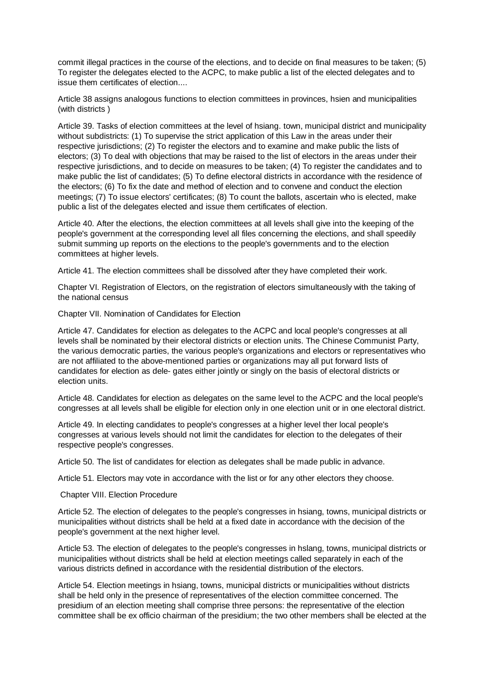commit illegal practices in the course of the elections, and to decide on final measures to be taken; (5) To register the delegates elected to the ACPC, to make public a list of the elected delegates and to issue them certificates of election....

Article 38 assigns analogous functions to election committees in provinces, hsien and municipalities (with districts )

Article 39. Tasks of election committees at the level of hsiang. town, municipal district and municipality without subdistricts: (1) To supervise the strict application of this Law in the areas under their respective jurisdictions; (2) To register the electors and to examine and make public the lists of electors; (3) To deal with objections that may be raised to the list of electors in the areas under their respective jurisdictions, and to decide on measures to be taken; (4) To register the candidates and to make public the list of candidates; (5) To define electoral districts in accordance with the residence of the electors; (6) To fix the date and method of election and to convene and conduct the election meetings; (7) To issue electors' certificates; (8) To count the ballots, ascertain who is elected, make public a list of the delegates elected and issue them certificates of election.

Article 40. After the elections, the election committees at all levels shall give into the keeping of the people's government at the corresponding level all files concerning the elections, and shall speedily submit summing up reports on the elections to the people's governments and to the election committees at higher levels.

Article 41. The election committees shall be dissolved after they have completed their work.

Chapter VI. Registration of Electors, on the registration of electors simultaneously with the taking of the national census

Chapter VII. Nomination of Candidates for Election

Article 47. Candidates for election as delegates to the ACPC and local people's congresses at all levels shall be nominated by their electoral districts or election units. The Chinese Communist Party, the various democratic parties, the various people's organizations and electors or representatives who are not affiliated to the above-mentioned parties or organizations may all put forward lists of candidates for election as dele- gates either jointly or singly on the basis of electoral districts or election units.

Article 48. Candidates for election as delegates on the same level to the ACPC and the local people's congresses at all levels shall be eligible for election only in one election unit or in one electoral district.

Article 49. In electing candidates to people's congresses at a higher level ther local people's congresses at various levels should not limit the candidates for election to the delegates of their respective people's congresses.

Article 50. The list of candidates for election as delegates shall be made public in advance.

Article 51. Electors may vote in accordance with the list or for any other electors they choose.

## Chapter VIII. Election Procedure

Article 52. The election of delegates to the people's congresses in hsiang, towns, municipal districts or municipalities without districts shall be held at a fixed date in accordance with the decision of the people's government at the next higher level.

Article 53. The election of delegates to the people's congresses in hslang, towns, municipal districts or municipalities without districts shall be held at election meetings called separately in each of the various districts defined in accordance with the residential distribution of the electors.

Article 54. Election meetings in hsiang, towns, municipal districts or municipalities without districts shall be held only in the presence of representatives of the election committee concerned. The presidium of an election meeting shall comprise three persons: the representative of the election committee shall be ex officio chairman of the presidium; the two other members shall be elected at the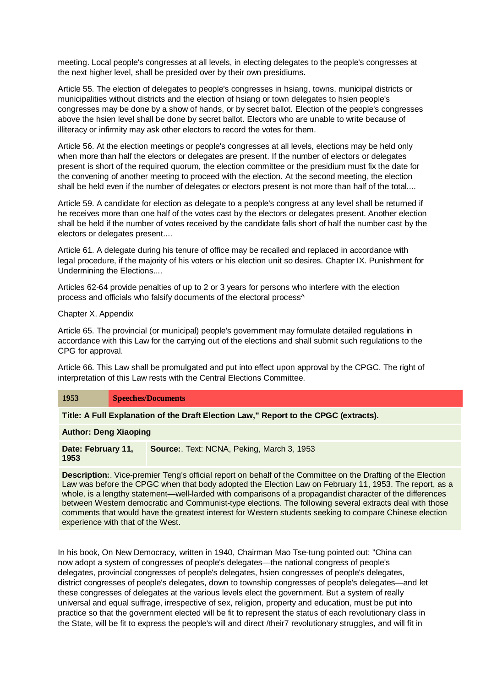meeting. Local people's congresses at all levels, in electing delegates to the people's congresses at the next higher level, shall be presided over by their own presidiums.

Article 55. The election of delegates to people's congresses in hsiang, towns, municipal districts or municipalities without districts and the election of hsiang or town delegates to hsien people's congresses may be done by a show of hands, or by secret ballot. Election of the people's congresses above the hsien level shall be done by secret ballot. Electors who are unable to write because of illiteracy or infirmity may ask other electors to record the votes for them.

Article 56. At the election meetings or people's congresses at all levels, elections may be held only when more than half the electors or delegates are present. If the number of electors or delegates present is short of the required quorum, the election committee or the presidium must fix the date for the convening of another meeting to proceed with the election. At the second meeting, the election shall be held even if the number of delegates or electors present is not more than half of the total....

Article 59. A candidate for election as delegate to a people's congress at any level shall be returned if he receives more than one half of the votes cast by the electors or delegates present. Another election shall be held if the number of votes received by the candidate falls short of half the number cast by the electors or delegates present....

Article 61. A delegate during his tenure of office may be recalled and replaced in accordance with legal procedure, if the majority of his voters or his election unit so desires. Chapter IX. Punishment for Undermining the Elections....

Articles 62-64 provide penalties of up to 2 or 3 years for persons who interfere with the election process and officials who falsify documents of the electoral process^

Chapter X. Appendix

Article 65. The provincial (or municipal) people's government may formulate detailed regulations in accordance with this Law for the carrying out of the elections and shall submit such regulations to the CPG for approval.

Article 66. This Law shall be promulgated and put into effect upon approval by the CPGC. The right of interpretation of this Law rests with the Central Elections Committee.

**1953 Speeches/Documents**

**Title: A Full Explanation of the Draft Election Law," Report to the CPGC (extracts).**

**Author: Deng Xiaoping**

**Date: February 11, 1953 Source:**. Text: NCNA, Peking, March 3, 1953

**Description:**. Vice-premier Teng's official report on behalf of the Committee on the Drafting of the Election Law was before the CPGC when that body adopted the Election Law on February 11, 1953. The report, as a whole, is a lengthy statement—well-larded with comparisons of a propagandist character of the differences between Western democratic and Communist-type elections. The following several extracts deal with those comments that would have the greatest interest for Western students seeking to compare Chinese election experience with that of the West.

In his book, On New Democracy, written in 1940, Chairman Mao Tse-tung pointed out: "China can now adopt a system of congresses of people's delegates—the national congress of people's delegates, provincial congresses of people's delegates, hsien congresses of people's delegates, district congresses of people's delegates, down to township congresses of people's delegates—and let these congresses of delegates at the various levels elect the government. But a system of really universal and equal suffrage, irrespective of sex, religion, property and education, must be put into practice so that the government elected will be fit to represent the status of each revolutionary class in the State, will be fit to express the people's will and direct /their7 revolutionary struggles, and will fit in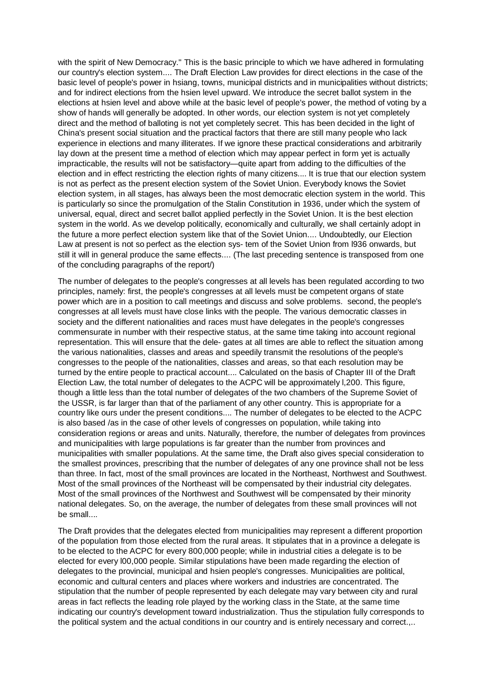with the spirit of New Democracy." This is the basic principle to which we have adhered in formulating our country's election system.... The Draft Election Law provides for direct elections in the case of the basic level of people's power in hsiang, towns, municipal districts and in municipalities without districts; and for indirect elections from the hsien level upward. We introduce the secret ballot system in the elections at hsien level and above while at the basic level of people's power, the method of voting by a show of hands will generally be adopted. In other words, our election system is not yet completely direct and the method of balloting is not yet completely secret. This has been decided in the light of China's present social situation and the practical factors that there are still many people who lack experience in elections and many illiterates. If we ignore these practical considerations and arbitrarily lay down at the present time a method of election which may appear perfect in form yet is actually impracticable, the results will not be satisfactory—quite apart from adding to the difficulties of the election and in effect restricting the election rights of many citizens.... It is true that our election system is not as perfect as the present election system of the Soviet Union. Everybody knows the Soviet election system, in all stages, has always been the most democratic election system in the world. This is particularly so since the promulgation of the Stalin Constitution in 1936, under which the system of universal, equal, direct and secret ballot applied perfectly in the Soviet Union. It is the best election system in the world. As we develop politically, economically and culturally, we shall certainly adopt in the future a more perfect election system like that of the Soviet Union.... Undoubtedly, our Election Law at present is not so perfect as the election sys- tem of the Soviet Union from l936 onwards, but still it will in general produce the same effects.... (The last preceding sentence is transposed from one of the concluding paragraphs of the report/)

The number of delegates to the people's congresses at all levels has been regulated according to two principles, namely: first, the people's congresses at all levels must be competent organs of state power which are in a position to call meetings and discuss and solve problems. second, the people's congresses at all levels must have close links with the people. The various democratic classes in society and the different nationalities and races must have delegates in the people's congresses commensurate in number with their respective status, at the same time taking into account regional representation. This will ensure that the dele- gates at all times are able to reflect the situation among the various nationalities, classes and areas and speedily transmit the resolutions of the people's congresses to the people of the nationalities, classes and areas, so that each resolution may be turned by the entire people to practical account.... Calculated on the basis of Chapter III of the Draft Election Law, the total number of delegates to the ACPC will be approximately l,200. This figure, though a little less than the total number of delegates of the two chambers of the Supreme Soviet of the USSR, is far larger than that of the parliament of any other country. This is appropriate for a country like ours under the present conditions.... The number of delegates to be elected to the ACPC is also based /as in the case of other levels of congresses on population, while taking into consideration regions or areas and units. Naturally, therefore, the number of delegates from provinces and municipalities with large populations is far greater than the number from provinces and municipalities with smaller populations. At the same time, the Draft also gives special consideration to the smallest provinces, prescribing that the number of delegates of any one province shall not be less than three. In fact, most of the small provinces are located in the Northeast, Northwest and Southwest. Most of the small provinces of the Northeast will be compensated by their industrial city delegates. Most of the small provinces of the Northwest and Southwest will be compensated by their minority national delegates. So, on the average, the number of delegates from these small provinces will not be small....

The Draft provides that the delegates elected from municipalities may represent a different proportion of the population from those elected from the rural areas. It stipulates that in a province a delegate is to be elected to the ACPC for every 800,000 people; while in industrial cities a delegate is to be elected for every l00,000 people. Similar stipulations have been made regarding the election of delegates to the provincial, municipal and hsien people's congresses. Municipalities are political, economic and cultural centers and places where workers and industries are concentrated. The stipulation that the number of people represented by each delegate may vary between city and rural areas in fact reflects the leading role played by the working class in the State, at the same time indicating our country's development toward industrialization. Thus the stipulation fully corresponds to the political system and the actual conditions in our country and is entirely necessary and correct.,..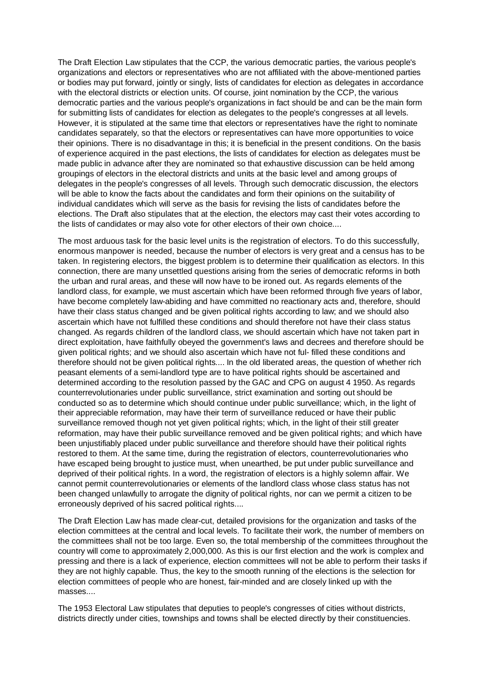The Draft Election Law stipulates that the CCP, the various democratic parties, the various people's organizations and electors or representatives who are not affiliated with the above-mentioned parties or bodies may put forward, jointly or singly, lists of candidates for election as delegates in accordance with the electoral districts or election units. Of course, joint nomination by the CCP, the various democratic parties and the various people's organizations in fact should be and can be the main form for submitting lists of candidates for election as delegates to the people's congresses at all levels. However, it is stipulated at the same time that electors or representatives have the right to nominate candidates separately, so that the electors or representatives can have more opportunities to voice their opinions. There is no disadvantage in this; it is beneficial in the present conditions. On the basis of experience acquired in the past elections, the lists of candidates for election as delegates must be made public in advance after they are nominated so that exhaustive discussion can be held among groupings of electors in the electoral districts and units at the basic level and among groups of delegates in the people's congresses of all levels. Through such democratic discussion, the electors will be able to know the facts about the candidates and form their opinions on the suitability of individual candidates which will serve as the basis for revising the lists of candidates before the elections. The Draft also stipulates that at the election, the electors may cast their votes according to the lists of candidates or may also vote for other electors of their own choice....

The most arduous task for the basic level units is the registration of electors. To do this successfully, enormous manpower is needed, because the number of electors is very great and a census has to be taken. In registering electors, the biggest problem is to determine their qualification as electors. In this connection, there are many unsettled questions arising from the series of democratic reforms in both the urban and rural areas, and these will now have to be ironed out. As regards elements of the landlord class, for example, we must ascertain which have been reformed through five years of labor, have become completely law-abiding and have committed no reactionary acts and, therefore, should have their class status changed and be given political rights according to law; and we should also ascertain which have not fulfilled these conditions and should therefore not have their class status changed. As regards children of the landlord class, we should ascertain which have not taken part in direct exploitation, have faithfully obeyed the government's laws and decrees and therefore should be given political rights; and we should also ascertain which have not ful- filled these conditions and therefore should not be given political rights.... In the old liberated areas, the question of whether rich peasant elements of a semi-landlord type are to have political rights should be ascertained and determined according to the resolution passed by the GAC and CPG on august 4 1950. As regards counterrevolutionaries under public surveillance, strict examination and sorting out should be conducted so as to determine which should continue under public surveillance; which, in the light of their appreciable reformation, may have their term of surveillance reduced or have their public surveillance removed though not yet given political rights; which, in the light of their still greater reformation, may have their public surveillance removed and be given political rights; and which have been unjustifiably placed under public surveillance and therefore should have their political rights restored to them. At the same time, during the registration of electors, counterrevolutionaries who have escaped being brought to justice must, when unearthed, be put under public surveillance and deprived of their political rights. In a word, the registration of electors is a highly solemn affair. We cannot permit counterrevolutionaries or elements of the landlord class whose class status has not been changed unlawfully to arrogate the dignity of political rights, nor can we permit a citizen to be erroneously deprived of his sacred political rights....

The Draft Election Law has made clear-cut, detailed provisions for the organization and tasks of the election committees at the central and local levels. To facilitate their work, the number of members on the committees shall not be too large. Even so, the total membership of the committees throughout the country will come to approximately 2,000,000. As this is our first election and the work is complex and pressing and there is a lack of experience, election committees will not be able to perform their tasks if they are not highly capable. Thus, the key to the smooth running of the elections is the selection for election committees of people who are honest, fair-minded and are closely linked up with the masses....

The 1953 Electoral Law stipulates that deputies to people's congresses of cities without districts, districts directly under cities, townships and towns shall be elected directly by their constituencies.